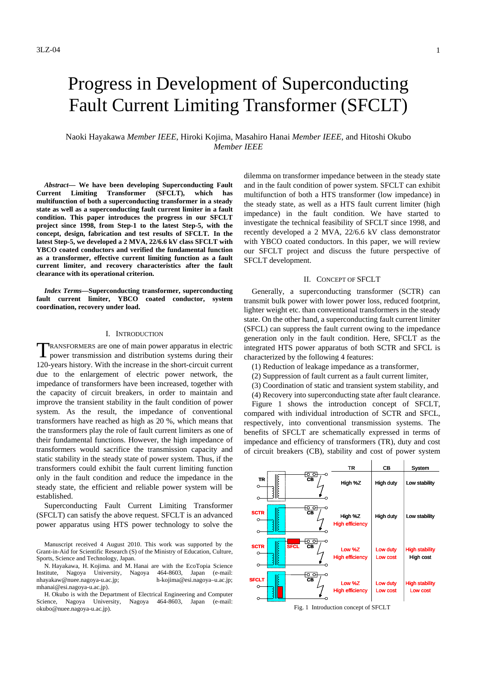# Progress in Development of Superconducting Fault Current Limiting Transformer (SFCLT)

## Naoki Hayakawa *Member IEEE*, Hiroki Kojima, Masahiro Hanai *Member IEEE*, and Hitoshi Okubo *Member IEEE*

*Abstract***— We have been developing Superconducting Fault Current Limiting Transformer (SFCLT), which has multifunction of both a superconducting transformer in a steady state as well as a superconducting fault current limiter in a fault condition. This paper introduces the progress in our SFCLT project since 1998, from Step-1 to the latest Step-5, with the concept, design, fabrication and test results of SFCLT. In the latest Step-5, we developed a 2 MVA, 22/6.6 kV class SFCLT with YBCO coated conductors and verified the fundamental function as a transformer, effective current limiting function as a fault current limiter, and recovery characteristics after the fault clearance with its operational criterion.** 

*Index Terms***—Superconducting transformer, superconducting fault current limiter, YBCO coated conductor, system coordination, recovery under load.** 

#### I. INTRODUCTION

RANSFORMERS are one of main power apparatus in electric TRANSFORMERS are one of main power apparatus in electric power transmission and distribution systems during their 120-years history. With the increase in the short-circuit current due to the enlargement of electric power network, the impedance of transformers have been increased, together with the capacity of circuit breakers, in order to maintain and improve the transient stability in the fault condition of power system. As the result, the impedance of conventional transformers have reached as high as 20 %, which means that the transformers play the role of fault current limiters as one of their fundamental functions. However, the high impedance of transformers would sacrifice the transmission capacity and static stability in the steady state of power system. Thus, if the transformers could exhibit the fault current limiting function only in the fault condition and reduce the impedance in the steady state, the efficient and reliable power system will be established.

 Superconducting Fault Current Limiting Transformer (SFCLT) can satisfy the above request. SFCLT is an advanced power apparatus using HTS power technology to solve the

Manuscript received 4 August 2010. This work was supported by the Grant-in-Aid for Scientific Research (S) of the Ministry of Education, Culture, Sports, Science and Technology, Japan.

N. Hayakawa, H. Kojima. and M. Hanai are with the EcoTopia Science Institute, Nagoya University, Nagoya 464-8603, Japan (e-mail: nhayakaw@nuee.nagoya-u.ac.jp; h-kojima@esi.nagoya–u.ac.jp; mhanai@esi.nagoya-u.ac.jp).

H. Okubo is with the Department of Electrical Engineering and Computer Science, Nagoya University, Nagoya 464-8603, Japan (e-mail: okubo@nuee.nagoya-u.ac.jp).

dilemma on transformer impedance between in the steady state and in the fault condition of power system. SFCLT can exhibit multifunction of both a HTS transformer (low impedance) in the steady state, as well as a HTS fault current limiter (high impedance) in the fault condition. We have started to investigate the technical feasibility of SFCLT since 1998, and recently developed a 2 MVA, 22/6.6 kV class demonstrator with YBCO coated conductors. In this paper, we will review our SFCLT project and discuss the future perspective of SFCLT development.

### II. CONCEPT OF SFCLT

Generally, a superconducting transformer (SCTR) can transmit bulk power with lower power loss, reduced footprint, lighter weight etc. than conventional transformers in the steady state. On the other hand, a superconducting fault current limiter (SFCL) can suppress the fault current owing to the impedance generation only in the fault condition. Here, SFCLT as the integrated HTS power apparatus of both SCTR and SFCL is characterized by the following 4 features:

- (1) Reduction of leakage impedance as a transformer,
- (2) Suppression of fault current as a fault current limiter,
- (3) Coordination of static and transient system stability, and
- (4) Recovery into superconducting state after fault clearance.

Figure 1 shows the introduction concept of SFCLT, compared with individual introduction of SCTR and SFCL, respectively, into conventional transmission systems. The benefits of SFCLT are schematically expressed in terms of impedance and efficiency of transformers (TR), duty and cost of circuit breakers (CB), stability and cost of power system



Fig. 1 Introduction concept of SFCLT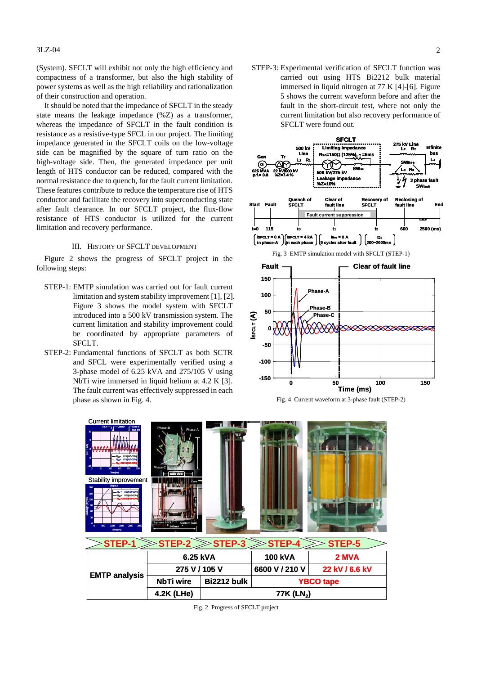#### 3LZ-04 2

(System). SFCLT will exhibit not only the high efficiency and compactness of a transformer, but also the high stability of power systems as well as the high reliability and rationalization of their construction and operation.

It should be noted that the impedance of SFCLT in the steady state means the leakage impedance (%Z) as a transformer, whereas the impedance of SFCLT in the fault condition is resistance as a resistive-type SFCL in our project. The limiting impedance generated in the SFCLT coils on the low-voltage side can be magnified by the square of turn ratio on the high-voltage side. Then, the generated impedance per unit length of HTS conductor can be reduced, compared with the normal resistance due to quench, for the fault current limitation. These features contribute to reduce the temperature rise of HTS conductor and facilitate the recovery into superconducting state after fault clearance. In our SFCLT project, the flux-flow resistance of HTS conductor is utilized for the current limitation and recovery performance.

#### III. HISTORY OF SFCLT DEVELOPMENT

Figure 2 shows the progress of SFCLT project in the following steps:

- STEP-1: EMTP simulation was carried out for fault current limitation and system stability improvement [1], [2]. Figure 3 shows the model system with SFCLT introduced into a 500 kV transmission system. The current limitation and stability improvement could be coordinated by appropriate parameters of SFCLT.
- STEP-2: Fundamental functions of SFCLT as both SCTR and SFCL were experimentally verified using a 3-phase model of 6.25 kVA and 275/105 V using NbTi wire immersed in liquid helium at 4.2 K [3]. The fault current was effectively suppressed in each phase as shown in Fig. 4.

STEP-3: Experimental verification of SFCLT function was carried out using HTS Bi2212 bulk material immersed in liquid nitrogen at 77 K [4]-[6]. Figure 5 shows the current waveform before and after the fault in the short-circuit test, where not only the current limitation but also recovery performance of SFCLT were found out.







Fig. 2 Progress of SFCLT project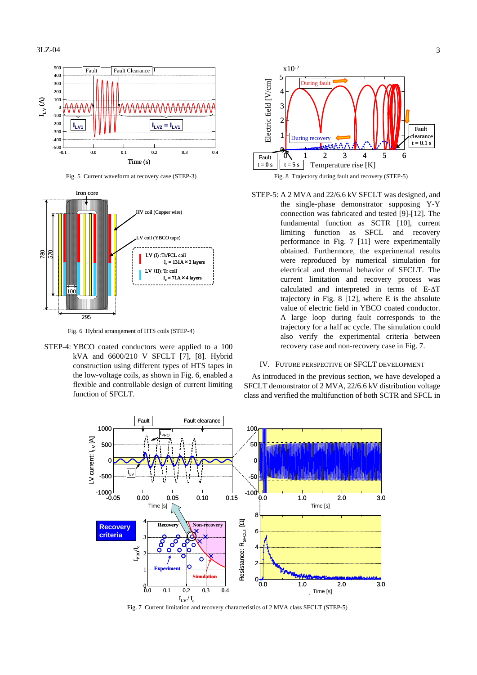

Fig. 5 Current waveform at recovery case (STEP-3)



Fig. 6 Hybrid arrangement of HTS coils (STEP-4)

STEP-4: YBCO coated conductors were applied to a 100 kVA and 6600/210 V SFCLT [7], [8]. Hybrid construction using different types of HTS tapes in the low-voltage coils, as shown in Fig. 6, enabled a flexible and controllable design of current limiting function of SFCLT.



STEP-5: A 2 MVA and 22/6.6 kV SFCLT was designed, and the single-phase demonstrator supposing Y-Y connection was fabricated and tested [9]-[12]. The fundamental function as SCTR [10], current limiting function as SFCL and recovery performance in Fig. 7 [11] were experimentally obtained. Furthermore, the experimental results were reproduced by numerical simulation for electrical and thermal behavior of SFCLT. The current limitation and recovery process was calculated and interpreted in terms of E-ΔT trajectory in Fig. 8 [12], where E is the absolute value of electric field in YBCO coated conductor. A large loop during fault corresponds to the trajectory for a half ac cycle. The simulation could also verify the experimental criteria between recovery case and non-recovery case in Fig. 7.

## IV. FUTURE PERSPECTIVE OF SFCLT DEVELOPMENT

As introduced in the previous section, we have developed a SFCLT demonstrator of 2 MVA, 22/6.6 kV distribution voltage class and verified the multifunction of both SCTR and SFCL in



Fig. 7 Current limitation and recovery characteristics of 2 MVA class SFCLT (STEP-5)